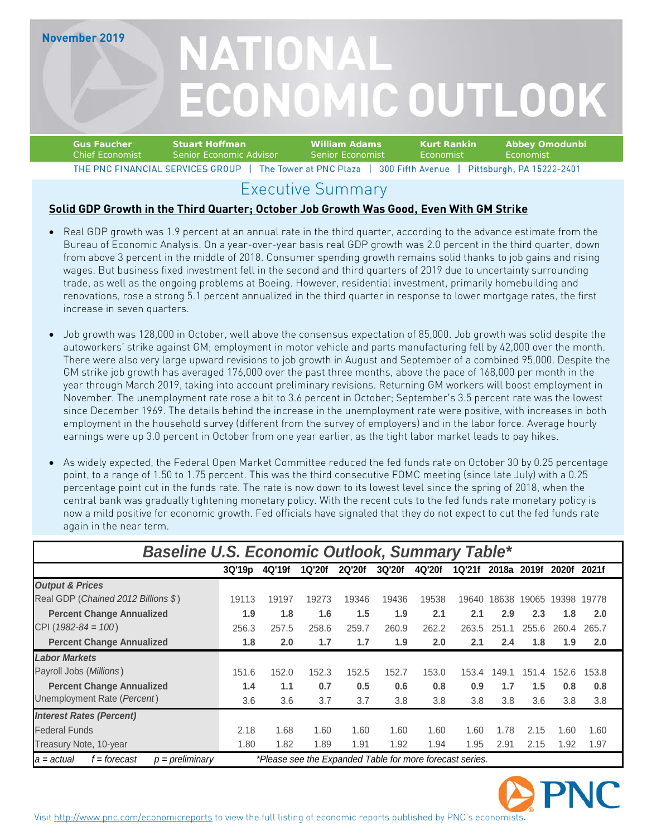### **November 2019**

# NATIONAL **ECONOMIC OUTLOOK**

#### **Gus Faucher Stuart Hoffman William Adams Kurt Rankin Abbey Omodunbi** Chief Economist Senior Economic Advisor Senior Economist Economist EconomistTHE PNC FINANCIAL SERVICES GROUP | The Tower at PNC Plaza | 300 Fifth Avenue | Pittsburgh, PA 15222-2401

### Executive Summary

### **Solid GDP Growth in the Third Quarter; October Job Growth Was Good, Even With GM Strike**

- Real GDP growth was 1.9 percent at an annual rate in the third quarter, according to the advance estimate from the Bureau of Economic Analysis. On a year-over-year basis real GDP growth was 2.0 percent in the third quarter, down from above 3 percent in the middle of 2018. Consumer spending growth remains solid thanks to job gains and rising wages. But business fixed investment fell in the second and third quarters of 2019 due to uncertainty surrounding trade, as well as the ongoing problems at Boeing. However, residential investment, primarily homebuilding and renovations, rose a strong 5.1 percent annualized in the third quarter in response to lower mortgage rates, the first increase in seven quarters.
- Job growth was 128,000 in October, well above the consensus expectation of 85,000. Job growth was solid despite the autoworkers' strike against GM; employment in motor vehicle and parts manufacturing fell by 42,000 over the month. There were also very large upward revisions to job growth in August and September of a combined 95,000. Despite the GM strike job growth has averaged 176,000 over the past three months, above the pace of 168,000 per month in the year through March 2019, taking into account preliminary revisions. Returning GM workers will boost employment in November. The unemployment rate rose a bit to 3.6 percent in October; September's 3.5 percent rate was the lowest since December 1969. The details behind the increase in the unemployment rate were positive, with increases in both employment in the household survey (different from the survey of employers) and in the labor force. Average hourly earnings were up 3.0 percent in October from one year earlier, as the tight labor market leads to pay hikes.
- As widely expected, the Federal Open Market Committee reduced the fed funds rate on October 30 by 0.25 percentage point, to a range of 1.50 to 1.75 percent. This was the third consecutive FOMC meeting (since late July) with a 0.25 percentage point cut in the funds rate. The rate is now down to its lowest level since the spring of 2018, when the central bank was gradually tightening monetary policy. With the recent cuts to the fed funds rate monetary policy is now a mild positive for economic growth. Fed officials have signaled that they do not expect to cut the fed funds rate again in the near term.

| <b>Baseline U.S. Economic Outlook, Summary Table*</b> |                                                          |        |        |        |        |        |        |       |       |              |       |
|-------------------------------------------------------|----------------------------------------------------------|--------|--------|--------|--------|--------|--------|-------|-------|--------------|-------|
|                                                       | 3Q'19p                                                   | 4Q'19f | 1Q'20f | 2Q'20f | 3Q'20f | 4Q'20f | 1Q'21f | 2018a | 2019f | <b>2020f</b> | 2021f |
| <b>Output &amp; Prices</b>                            |                                                          |        |        |        |        |        |        |       |       |              |       |
| Real GDP (Chained 2012 Billions \$)                   | 19113                                                    | 19197  | 19273  | 19346  | 19436  | 19538  | 19640  | 18638 | 19065 | 19398        | 19778 |
| <b>Percent Change Annualized</b>                      | 1.9                                                      | 1.8    | 1.6    | 1.5    | 1.9    | 2.1    | 2.1    | 2.9   | 2.3   | 1.8          | 2.0   |
| CPI ( $1982 - 84 = 100$ )                             | 256.3                                                    | 257.5  | 258.6  | 259.7  | 260.9  | 262.2  | 263.5  | 251   | 255.6 | 260.4        | 265.7 |
| <b>Percent Change Annualized</b>                      | 1.8                                                      | 2.0    | 1.7    | 1.7    | 1.9    | 2.0    | 2.1    | 2.4   | 1.8   | 1.9          | 2.0   |
| <b>Labor Markets</b>                                  |                                                          |        |        |        |        |        |        |       |       |              |       |
| Payroll Jobs (Millions)                               | 151.6                                                    | 152.0  | 152.3  | 152.5  | 152.7  | 153.0  | 153.4  | 149.1 | 151.4 | 152.6        | 153.8 |
| <b>Percent Change Annualized</b>                      | 1.4                                                      | 1.1    | 0.7    | 0.5    | 0.6    | 0.8    | 0.9    | 1.7   | 1.5   | 0.8          | 0.8   |
| Unemployment Rate (Percent)                           | 3.6                                                      | 3.6    | 3.7    | 3.7    | 3.8    | 3.8    | 3.8    | 3.8   | 3.6   | 3.8          | 3.8   |
| <b>Interest Rates (Percent)</b>                       |                                                          |        |        |        |        |        |        |       |       |              |       |
| <b>Federal Funds</b>                                  | 2.18                                                     | 1.68   | 1.60   | 1.60   | 1.60   | 1.60   | 1.60   | 1.78  | 2.15  | 1.60         | 1.60  |
| Treasury Note, 10-year                                | 1.80                                                     | 1.82   | 1.89   | 1.91   | 1.92   | 1.94   | 1.95   | 2.91  | 2.15  | 1.92         | 1.97  |
| $p = preliminary$<br>f = forecast<br>$a = actual$     | *Please see the Expanded Table for more forecast series. |        |        |        |        |        |        |       |       |              |       |

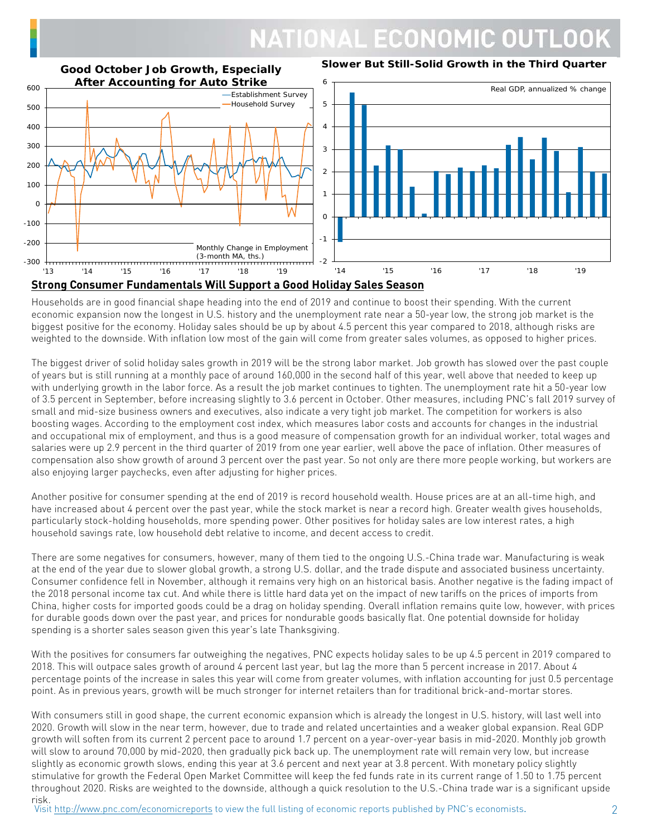# **NATIONAL ECONOMIC OUTL**



Households are in good financial shape heading into the end of 2019 and continue to boost their spending. With the current economic expansion now the longest in U.S. history and the unemployment rate near a 50-year low, the strong job market is the biggest positive for the economy. Holiday sales should be up by about 4.5 percent this year compared to 2018, although risks are weighted to the downside. With inflation low most of the gain will come from greater sales volumes, as opposed to higher prices.

The biggest driver of solid holiday sales growth in 2019 will be the strong labor market. Job growth has slowed over the past couple of years but is still running at a monthly pace of around 160,000 in the second half of this year, well above that needed to keep up with underlying growth in the labor force. As a result the job market continues to tighten. The unemployment rate hit a 50-year low of 3.5 percent in September, before increasing slightly to 3.6 percent in October. Other measures, including PNC's fall 2019 survey of small and mid-size business owners and executives, also indicate a very tight job market. The competition for workers is also boosting wages. According to the employment cost index, which measures labor costs and accounts for changes in the industrial and occupational mix of employment, and thus is a good measure of compensation growth for an individual worker, total wages and salaries were up 2.9 percent in the third quarter of 2019 from one year earlier, well above the pace of inflation. Other measures of compensation also show growth of around 3 percent over the past year. So not only are there more people working, but workers are also enjoying larger paychecks, even after adjusting for higher prices.

Another positive for consumer spending at the end of 2019 is record household wealth. House prices are at an all-time high, and have increased about 4 percent over the past year, while the stock market is near a record high. Greater wealth gives households, particularly stock-holding households, more spending power. Other positives for holiday sales are low interest rates, a high household savings rate, low household debt relative to income, and decent access to credit.

There are some negatives for consumers, however, many of them tied to the ongoing U.S.-China trade war. Manufacturing is weak at the end of the year due to slower global growth, a strong U.S. dollar, and the trade dispute and associated business uncertainty. Consumer confidence fell in November, although it remains very high on an historical basis. Another negative is the fading impact of the 2018 personal income tax cut. And while there is little hard data yet on the impact of new tariffs on the prices of imports from China, higher costs for imported goods could be a drag on holiday spending. Overall inflation remains quite low, however, with prices for durable goods down over the past year, and prices for nondurable goods basically flat. One potential downside for holiday spending is a shorter sales season given this year's late Thanksgiving.

With the positives for consumers far outweighing the negatives, PNC expects holiday sales to be up 4.5 percent in 2019 compared to 2018. This will outpace sales growth of around 4 percent last year, but lag the more than 5 percent increase in 2017. About 4 percentage points of the increase in sales this year will come from greater volumes, with inflation accounting for just 0.5 percentage point. As in previous years, growth will be much stronger for internet retailers than for traditional brick-and-mortar stores.

With consumers still in good shape, the current economic expansion which is already the longest in U.S. history, will last well into 2020. Growth will slow in the near term, however, due to trade and related uncertainties and a weaker global expansion. Real GDP growth will soften from its current 2 percent pace to around 1.7 percent on a year-over-year basis in mid-2020. Monthly job growth will slow to around 70,000 by mid-2020, then gradually pick back up. The unemployment rate will remain very low, but increase slightly as economic growth slows, ending this year at 3.6 percent and next year at 3.8 percent. With monetary policy slightly stimulative for growth the Federal Open Market Committee will keep the fed funds rate in its current range of 1.50 to 1.75 percent throughout 2020. Risks are weighted to the downside, although a quick resolution to the U.S.-China trade war is a significant upside risk.

Visi[t http://www.pnc.com/economicreports](http://www.pnc.com/economicreports) to view the full listing of economic reports published by PNC's economists.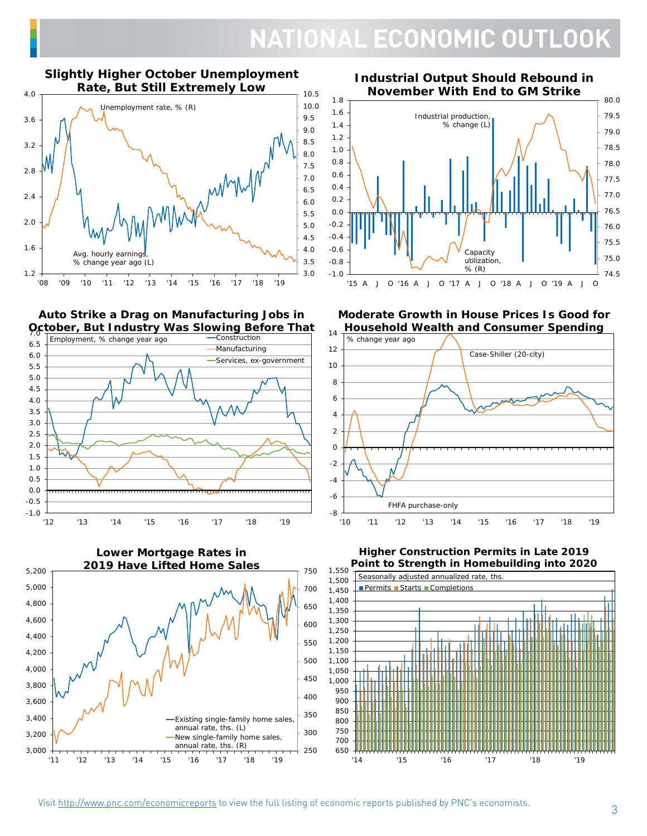### NATIONAL ECONOMIC OUTLOOK

#### **Slightly Higher October Unemployment Rate, But Still Extremely Low**



**Auto Strike a Drag on Manufacturing Jobs in October, But Industry Was Slowing Before That** 7.0





**Industrial Output Should Rebound in November With End to GM Strike**



**Moderate Growth in House Prices Is Good for Household Wealth and Consumer Spending**





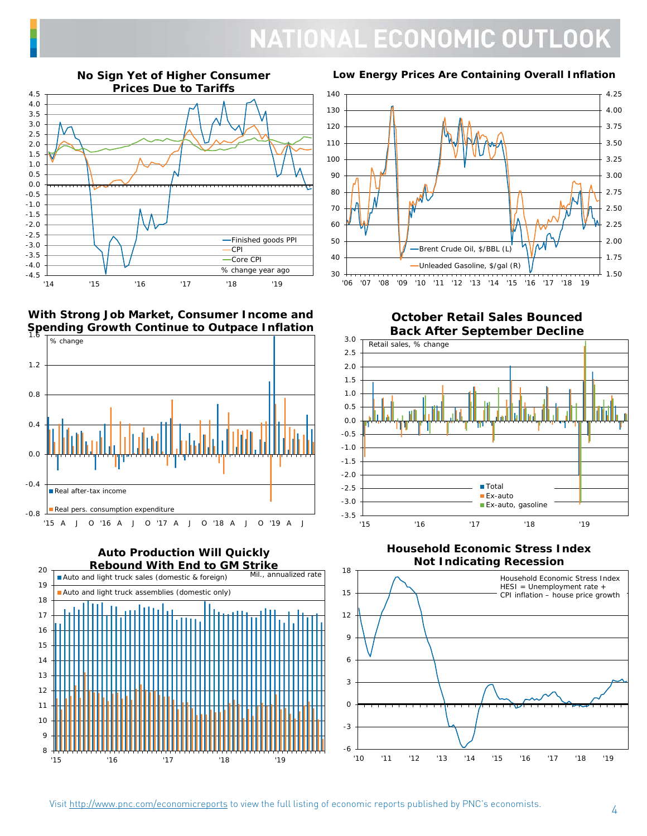### **NATIONAL ECONOMIC OUTLOOK**



### **No Sign Yet of Higher Consumer**

### **With Strong Job Market, Consumer Income and Spending Growth Continue to Outpace Inflation**



**Auto Production Will Quickly Rebound With End to GM Strike** 8 9 10 11 12 13 14 15 16 17 18 19  $20$ '15 '16 '17 '18 '19 Auto and light truck sales (domestic & foreign) Auto and light truck assemblies (domestic only) Mil., annualized rate

### **Low Energy Prices Are Containing Overall Inflation**



### **October Retail Sales Bounced Back After September Decline**



**Household Economic Stress Index Not Indicating Recession**